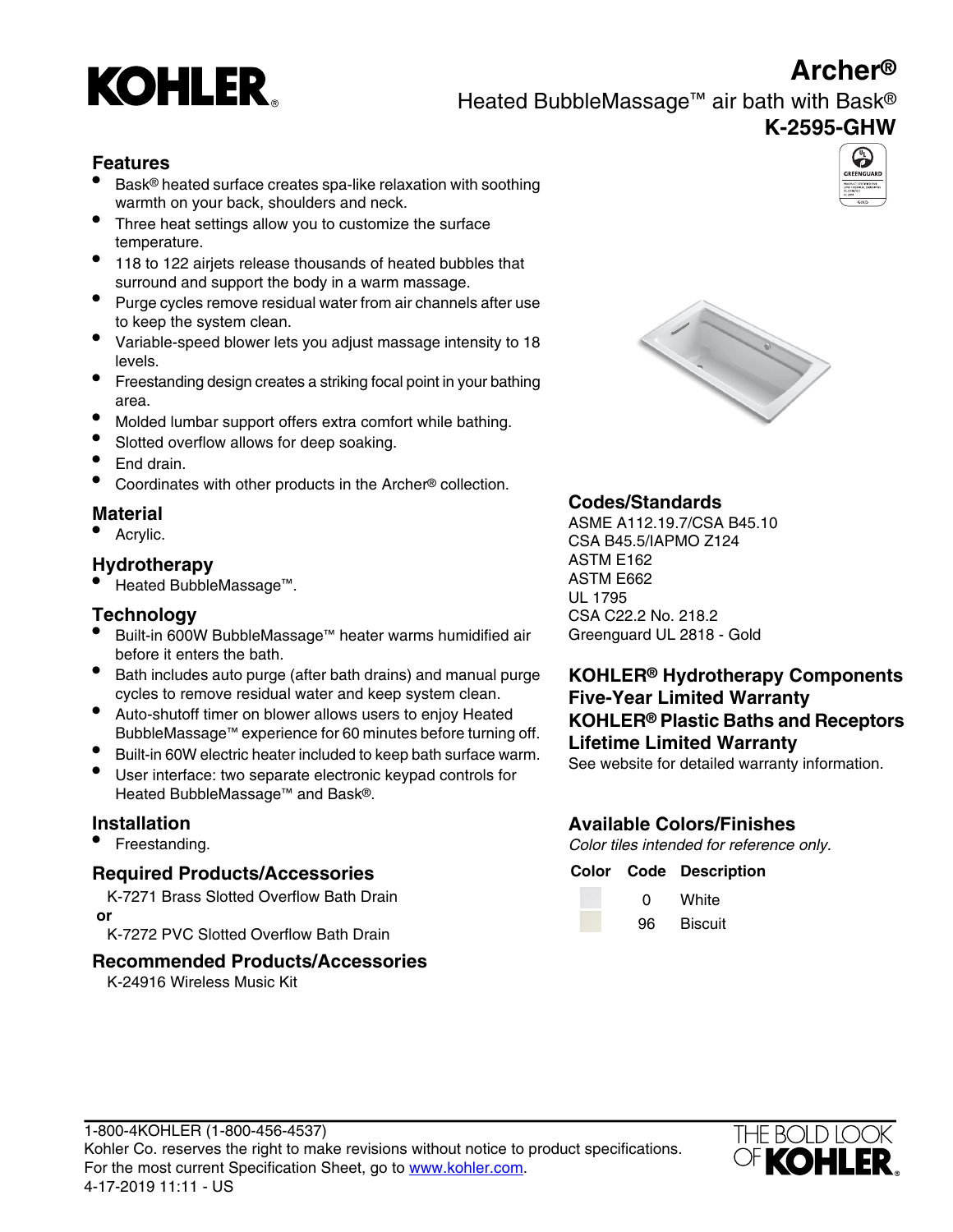# **Archer®**



Heated BubbleMassage™ air bath with Bask®

## **K-2595-GHW**

## **Features**

- Bask® heated surface creates spa-like relaxation with soothing warmth on your back, shoulders and neck.
- Three heat settings allow you to customize the surface temperature.
- <sup>•</sup> 118 to 122 airjets release thousands of heated bubbles that surround and support the body in a warm massage.
- Purge cycles remove residual water from air channels after use to keep the system clean.
- Variable-speed blower lets you adjust massage intensity to 18 levels.
- Freestanding design creates a striking focal point in your bathing area.
- Molded lumbar support offers extra comfort while bathing.
- Slotted overflow allows for deep soaking.
- End drain.
- Coordinates with other products in the Archer® collection.

<sup>●</sup> Heated BubbleMassage™.

- Built-in 600W BubbleMassage™ heater warms humidified air Greenguard UL 2818 Gold before it enters the bath.
- Bath includes auto purge (after bath drains) and manual purge cycles to remove residual water and keep system clean.
- Auto-shutoff timer on blower allows users to enjoy Heated BubbleMassage™ experience for 60 minutes before turning off.
- Built-in 60W electric heater included to keep bath surface warm.<br>• Built-in 60W electric heater included to keep bath surface warm. See website for detailed warranty information.<br>• User interface: two separate electronic
- Heated BubbleMassage<sup>™</sup> and Bask<sup>®</sup>.

## **Required Products/Accessories**

K-7271 Brass Slotted Overflow Bath Drain  **or**

**K-7272 PVC Slotted Overflow Bath Drain** 96 Biscuit

## **Recommended Products/Accessories**

K-24916 Wireless Music Kit





**Material Material Codes/Standards**<br>● Acrylic. CSA B45.10 • Acrylic. CSA B45.5/IAPMO Z124 • Acrylic. **Hydrotherapy** ASTM E162<br>● Hested BubbleMessese™ ASTM E662 UL 1795 **Technology CSA C22.2 No. 218.2** 

## **KOHLER® Hydrotherapy Components Five-Year Limited Warranty KOHLER® Plastic Baths and Receptors**

## **Installation Available Colors/Finishes**

• Freestanding. The standing is the color tiles intended for reference only.

### **Color Code Description**

| 0  | White  |
|----|--------|
| Ωc | Diooui |